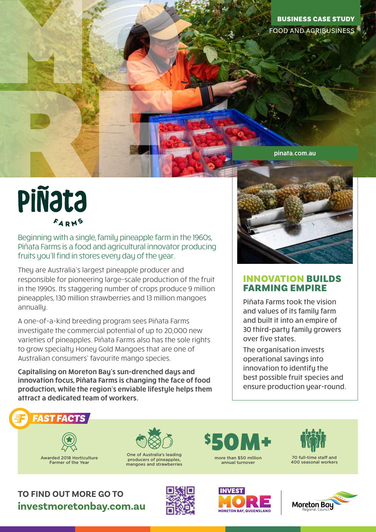## pinata.com.au

## **PIÑata** FARMS

Beginning with a single, family pineapple farm in the 1960s, Piñata Farms is a food and agricultural innovator producing fruits you'll find in stores every day of the year.

They are Australia's largest pineapple producer and responsible for pioneering large-scale production of the fruit in the 1990s. Its staggering number of crops produce 9 million pineapples, 130 million strawberries and 13 million mangoes annually.

A one-of-a-kind breeding program sees Piñata Farms investigate the commercial potential of up to 20,000 new varieties of pineapples. Piñata Farms also has the sole rights to grow specialty Honey Gold Mangoes that are one of Australian consumers' favourite mango species.

Capitalising on Moreton Bay's sun-drenched days and innovation focus, Piñata Farms is changing the face of food production, while the region's enviable lifestyle helps them attract a dedicated team of workers.



## INNOVATION BUILDS FARMING EMPIRE

Piñata Farms took the vision and values of its family farm and built it into an empire of 30 third-party family growers over five states.

The organisation invests operational savings into innovation to identify the best possible fruit species and ensure production year-round.



Awarded 2018 Horticulture Farmer of the Year



One of Australia's leading producers of pineapples, mangoes and strawberries



70 full-time staff and 400 seasonal workers

**TO FIND OUT MORE GO TO investmoretonbay.com.au**